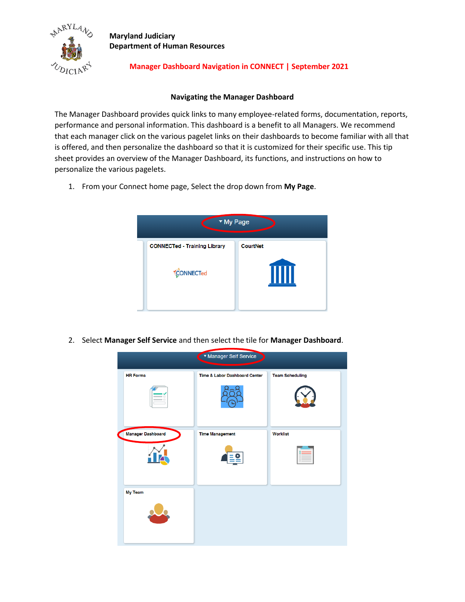

# **Manager Dashboard Navigation in CONNECT | September 2021**

#### **Navigating the Manager Dashboard**

The Manager Dashboard provides quick links to many employee-related forms, documentation, reports, performance and personal information. This dashboard is a benefit to all Managers. We recommend that each manager click on the various pagelet links on their dashboards to become familiar with all that is offered, and then personalize the dashboard so that it is customized for their specific use. This tip sheet provides an overview of the Manager Dashboard, its functions, and instructions on how to personalize the various pagelets.

1. From your Connect home page, Select the drop down from **My Page**.



2. Select **Manager Self Service** and then select the tile for **Manager Dashboard**.

|                   | ▼ Manager Self Service        |                        |
|-------------------|-------------------------------|------------------------|
| <b>HR Forms</b>   | Time & Labor Dashboard Center | <b>Team Scheduling</b> |
|                   |                               |                        |
| Manager Dashboard | <b>Time Management</b>        | <b>Worklist</b>        |
|                   |                               |                        |
| My Team           |                               |                        |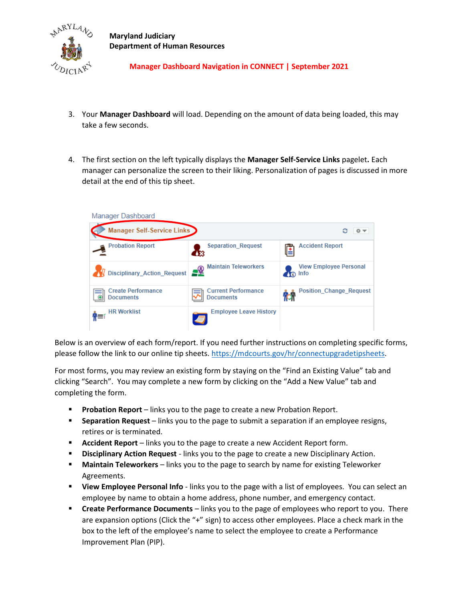

# **Manager Dashboard Navigation in CONNECT | September 2021**

- 3. Your **Manager Dashboard** will load. Depending on the amount of data being loaded, this may take a few seconds.
- 4. The first section on the left typically displays the **Manager Self-Service Links** pagelet**.** Each manager can personalize the screen to their liking. Personalization of pages is discussed in more detail at the end of this tip sheet.



Below is an overview of each form/report. If you need further instructions on completing specific forms, please follow the link to our online tip sheets. [https://mdcourts.gov/hr/connectupgradetipsheets.](https://mdcourts.gov/hr/connectupgradetipsheets)

For most forms, you may review an existing form by staying on the "Find an Existing Value" tab and clicking "Search". You may complete a new form by clicking on the "Add a New Value" tab and completing the form.

- **Probation Report** links you to the page to create a new Probation Report.
- **EXE** Separation Request links you to the page to submit a separation if an employee resigns, retires or is terminated.
- **Accident Report** links you to the page to create a new Accident Report form.
- **Disciplinary Action Request** links you to the page to create a new Disciplinary Action.
- **Maintain Teleworkers** links you to the page to search by name for existing Teleworker Agreements.
- **EXECT** View Employee Personal Info links you to the page with a list of employees. You can select an employee by name to obtain a home address, phone number, and emergency contact.
- **Example 2** Create Performance Documents links you to the page of employees who report to you. There are expansion options (Click the "+" sign) to access other employees. Place a check mark in the box to the left of the employee's name to select the employee to create a Performance Improvement Plan (PIP).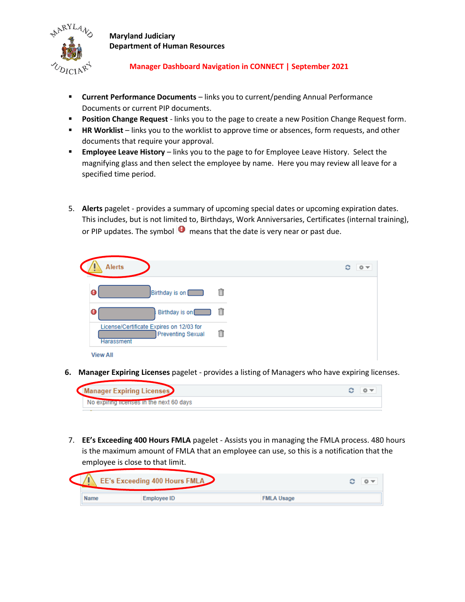

# **Manager Dashboard Navigation in CONNECT | September 2021**

- **Current Performance Documents** links you to current/pending Annual Performance Documents or current PIP documents.
- **Position Change Request** links you to the page to create a new Position Change Request form.
- **HR Worklist** links you to the worklist to approve time or absences, form requests, and other documents that require your approval.
- **Employee Leave History** links you to the page to for Employee Leave History. Select the magnifying glass and then select the employee by name. Here you may review all leave for a specified time period.
- 5. **Alerts** pagelet provides a summary of upcoming special dates or upcoming expiration dates. This includes, but is not limited to, Birthdays, Work Anniversaries, Certificates (internal training), or PIP updates. The symbol  $\bullet$  means that the date is very near or past due.

| <b>Alerts</b>                                                                      |     | င<br>ю |
|------------------------------------------------------------------------------------|-----|--------|
| Birthday is on                                                                     | î   |        |
| Birthday is on                                                                     | fil |        |
| License/Certificate Expires on 12/03 for<br><b>Preventing Sexual</b><br>Harassment | 俞   |        |
| <b>View All</b>                                                                    |     |        |

**6. Manager Expiring Licenses** pagelet - provides a listing of Managers who have expiring licenses.



7. **EE's Exceeding 400 Hours FMLA** pagelet - Assists you in managing the FMLA process. 480 hours is the maximum amount of FMLA that an employee can use, so this is a notification that the employee is close to that limit.

| <b>EE's Exceeding 400 Hours FMLA</b> |             |                   |  |  |  |
|--------------------------------------|-------------|-------------------|--|--|--|
| Name                                 | Employee ID | <b>FMLA Usage</b> |  |  |  |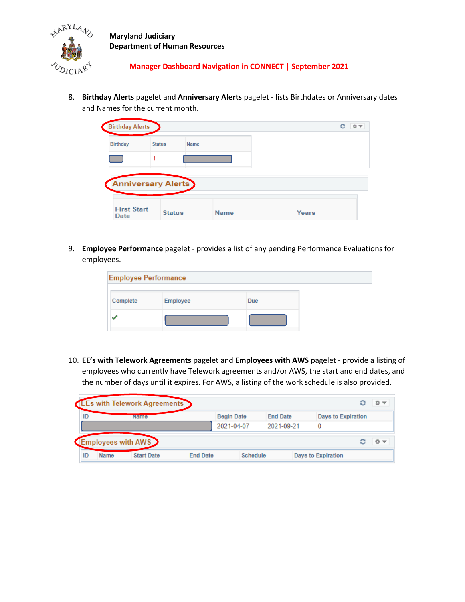

 **Manager Dashboard Navigation in CONNECT | September 2021**

8. **Birthday Alerts** pagelet and **Anniversary Alerts** pagelet - lists Birthdates or Anniversary dates and Names for the current month.

| <b>Birthday Alerts</b>    |               |             | 森<br>с<br>$\overline{\phantom{a}}$ |
|---------------------------|---------------|-------------|------------------------------------|
| <b>Birthday</b>           | <b>Status</b> | <b>Name</b> |                                    |
|                           |               |             |                                    |
|                           |               |             |                                    |
| <b>Anniversary Alerts</b> |               |             |                                    |
|                           |               |             |                                    |

9. **Employee Performance** pagelet - provides a list of any pending Performance Evaluations for employees.

| <b>Employee Performance</b> |                 |            |  |
|-----------------------------|-----------------|------------|--|
| Complete                    | <b>Employee</b> | <b>Due</b> |  |
|                             |                 |            |  |

10. **EE's with Telework Agreements** pagelet and **Employees with AWS** pagelet - provide a listing of employees who currently have Telework agreements and/or AWS, the start and end dates, and the number of days until it expires. For AWS, a listing of the work schedule is also provided.

|    |             | <b>EEs with Telework Agreements</b> |                 |                   |                 |                           | 森マ |
|----|-------------|-------------------------------------|-----------------|-------------------|-----------------|---------------------------|----|
| ID |             | Name                                |                 | <b>Begin Date</b> | <b>End Date</b> | <b>Days to Expiration</b> |    |
|    |             |                                     |                 | 2021-04-07        | 2021-09-21      |                           |    |
|    |             | Employees with AWS                  |                 |                   |                 |                           | 章マ |
| ID | <b>Name</b> | <b>Start Date</b>                   | <b>End Date</b> | <b>Schedule</b>   |                 | <b>Days to Expiration</b> |    |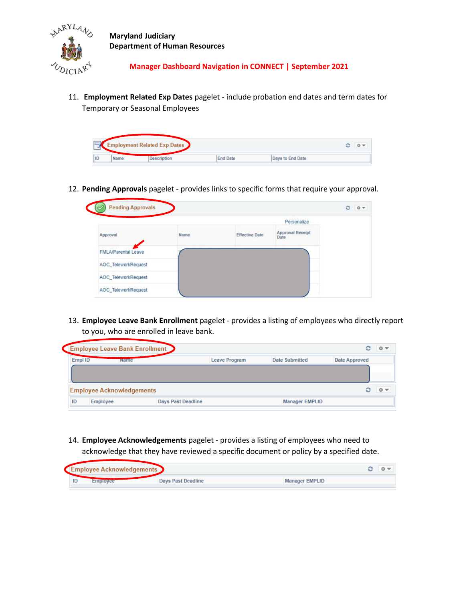

 **Manager Dashboard Navigation in CONNECT | September 2021**

11. **Employment Related Exp Dates** pagelet - include probation end dates and term dates for Temporary or Seasonal Employees

|    |      | <b>Employment Related Exp Dates</b> |                 |                  | c | O <sub>x</sub> |
|----|------|-------------------------------------|-----------------|------------------|---|----------------|
| ID | Name | Description                         | <b>End Date</b> | Days to End Date |   |                |

12. **Pending Approvals** pagelet - provides links to specific forms that require your approval.

|                            |      |                       | Personalize                     |  |
|----------------------------|------|-----------------------|---------------------------------|--|
| Approval                   | Name | <b>Effective Date</b> | <b>Approval Receipt</b><br>Date |  |
| <b>FMLA/Parental Leave</b> |      |                       |                                 |  |
| AOC_TeleworkRequest        |      |                       |                                 |  |
| AOC_TeleworkRequest        |      |                       |                                 |  |

13. **Employee Leave Bank Enrollment** pagelet - provides a listing of employees who directly report to you, who are enrolled in leave bank.

|    |          | <b>Employee Leave Bank Enrollment</b> |                           |                       | င             | 森木 |
|----|----------|---------------------------------------|---------------------------|-----------------------|---------------|----|
|    | Empl ID  | <b>Name</b>                           | <b>Leave Program</b>      | Date Submitted        | Date Approved |    |
|    |          |                                       |                           |                       |               |    |
|    |          | <b>Employee Acknowledgements</b>      |                           |                       | c             | 森木 |
| ID | Employee |                                       | <b>Days Past Deadline</b> | <b>Manager EMPLID</b> |               |    |

14. **Employee Acknowledgements** pagelet - provides a listing of employees who need to acknowledge that they have reviewed a specific document or policy by a specified date.

|    | Employee Acknowledgements |                           |                       |  |
|----|---------------------------|---------------------------|-----------------------|--|
| ID |                           | <b>Davs Past Deadline</b> | <b>Manager EMPLID</b> |  |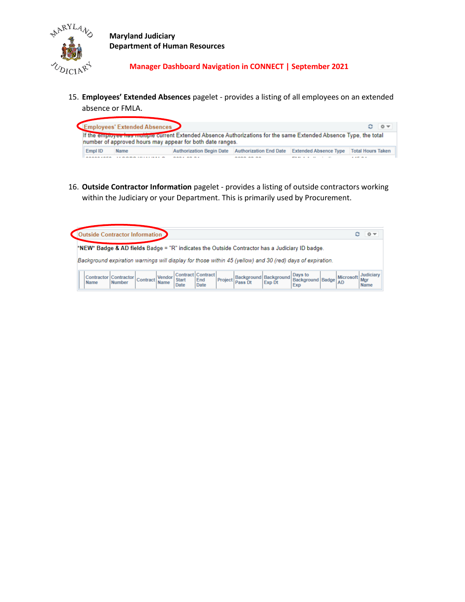

 **Manager Dashboard Navigation in CONNECT | September 2021**

15. **Employees' Extended Absences** pagelet - provides a listing of all employees on an extended absence or FMLA.

|         | Employees' Extended Absences | If the employee has multiple current Extended Absence Authorizations for the same Extended Absence Type, the total |                                 |                              | $0 -$<br>$\circ$         |
|---------|------------------------------|--------------------------------------------------------------------------------------------------------------------|---------------------------------|------------------------------|--------------------------|
|         |                              | number of approved hours may appear for both date ranges.                                                          |                                 |                              |                          |
| Empl ID | Name                         | Authorization Begin Date Authorization End Date                                                                    |                                 | <b>Extended Absence Type</b> | <b>Total Hours Taken</b> |
|         |                              |                                                                                                                    | <b><i><u>BABB AR BA</u></i></b> |                              | $\cdots$                 |

16. **Outside Contractor Information** pagelet - provides a listing of outside contractors working within the Judiciary or your Department. This is primarily used by Procurement.

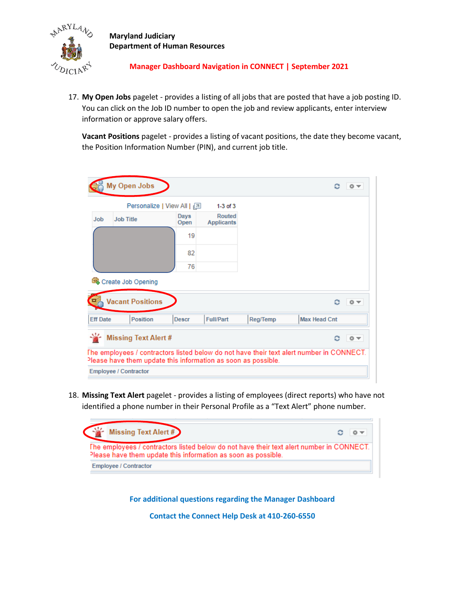

### **Manager Dashboard Navigation in CONNECT | September 2021**

17. **My Open Jobs** pagelet - provides a listing of all jobs that are posted that have a job posting ID. You can click on the Job ID number to open the job and review applicants, enter interview information or approve salary offers.

**Vacant Positions** pagelet - provides a listing of vacant positions, the date they become vacant, the Position Information Number (PIN), and current job title.

|                 | My Open Jobs                                                                                                                                              |              |                                    |          |                     | 春マ |
|-----------------|-----------------------------------------------------------------------------------------------------------------------------------------------------------|--------------|------------------------------------|----------|---------------------|----|
|                 | Personalize   View All   2                                                                                                                                |              | $1-3$ of $3$                       |          |                     |    |
| <b>Job</b>      | <b>Job Title</b>                                                                                                                                          | Days<br>Open | <b>Routed</b><br><b>Applicants</b> |          |                     |    |
|                 |                                                                                                                                                           | 19           |                                    |          |                     |    |
|                 |                                                                                                                                                           | 82           |                                    |          |                     |    |
|                 |                                                                                                                                                           | 76           |                                    |          |                     |    |
|                 | da Create Job Opening                                                                                                                                     |              |                                    |          |                     |    |
|                 | <b>Vacant Positions</b>                                                                                                                                   |              |                                    |          | ٥                   | 春天 |
| <b>Eff Date</b> | <b>Position</b>                                                                                                                                           | <b>Descr</b> | <b>Full/Part</b>                   | Reg/Temp | <b>Max Head Cnt</b> |    |
|                 | <b>Missing Text Alert #</b>                                                                                                                               |              |                                    |          |                     | 卷室 |
|                 | The employees / contractors listed below do not have their text alert number in CONNECT.<br>Please have them update this information as soon as possible. |              |                                    |          |                     |    |
|                 | <b>Employee / Contractor</b>                                                                                                                              |              |                                    |          |                     |    |

18. **Missing Text Alert** pagelet - provides a listing of employees (direct reports) who have not identified a phone number in their Personal Profile as a "Text Alert" phone number.



**For additional questions regarding the Manager Dashboard**

**Contact the Connect Help Desk at 410-260-6550**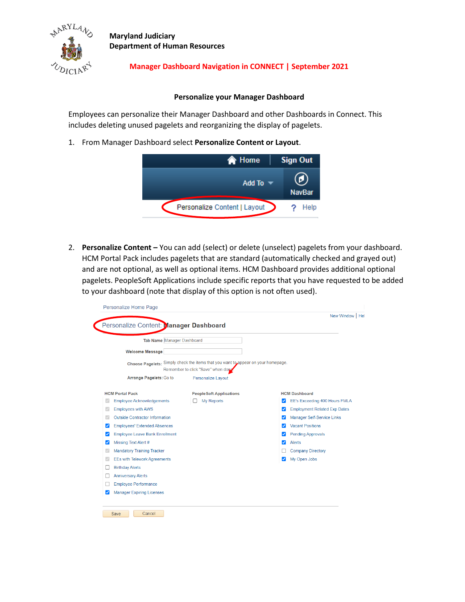

Ó

**Maryland Judiciary Department of Human Resources**

# **Manager Dashboard Navigation in CONNECT | September 2021**

#### **Personalize your Manager Dashboard**

Employees can personalize their Manager Dashboard and other Dashboards in Connect. This includes deleting unused pagelets and reorganizing the display of pagelets.

1. From Manager Dashboard select **Personalize Content or Layout**.



2. **Personalize Content –** You can add (select) or delete (unselect) pagelets from your dashboard. HCM Portal Pack includes pagelets that are standard (automatically checked and grayed out) and are not optional, as well as optional items. HCM Dashboard provides additional optional pagelets. PeopleSoft Applications include specific reports that you have requested to be added to your dashboard (note that display of this option is not often used).

|                                            | Personalize Content: Manager Dashboard |                                                                                                                          |   | New Window   He                     |
|--------------------------------------------|----------------------------------------|--------------------------------------------------------------------------------------------------------------------------|---|-------------------------------------|
|                                            | Tab Name Manager Dashboard             |                                                                                                                          |   |                                     |
|                                            | <b>Welcome Message</b>                 |                                                                                                                          |   |                                     |
|                                            |                                        | Choose Pagelets: Simply check the items that you want to appear on your homepage.<br>Remember to click "Save" when dong. |   |                                     |
|                                            | Arrange Pagelets: Go to                | <b>Personalize Layout</b>                                                                                                |   |                                     |
|                                            | <b>HCM Portal Pack</b>                 | <b>PeopleSoft Applications</b>                                                                                           |   | <b>HCM Dashboard</b>                |
|                                            | <b>Employee Acknowledgements</b>       | <b>My Reports</b>                                                                                                        | ✓ | EE's Exceeding 400 Hours FMLA       |
|                                            | <b>Employees with AWS</b>              |                                                                                                                          | ✓ | <b>Employment Related Exp Dates</b> |
|                                            | <b>Outside Contractor Information</b>  |                                                                                                                          | ✓ | Manager Self-Service Links          |
| ◡                                          | <b>Employees' Extended Absences</b>    |                                                                                                                          | ✓ | <b>Vacant Positions</b>             |
| <b>Employee Leave Bank Enrollment</b><br>◡ |                                        |                                                                                                                          | ☑ | <b>Pending Approvals</b>            |
| ✓                                          | Missing Text Alert #                   |                                                                                                                          | ✓ | <b>Alerts</b>                       |
|                                            | <b>Mandatory Training Tracker</b>      |                                                                                                                          |   | <b>Company Directory</b>            |
|                                            | <b>EEs with Telework Agreements</b>    |                                                                                                                          | ☑ | My Open Jobs                        |
|                                            | <b>Birthday Alerts</b>                 |                                                                                                                          |   |                                     |
|                                            | <b>Anniversary Alerts</b>              |                                                                                                                          |   |                                     |
|                                            | <b>Employee Performance</b>            |                                                                                                                          |   |                                     |
| $\overline{\mathcal{L}}$                   | <b>Manager Expiring Licenses</b>       |                                                                                                                          |   |                                     |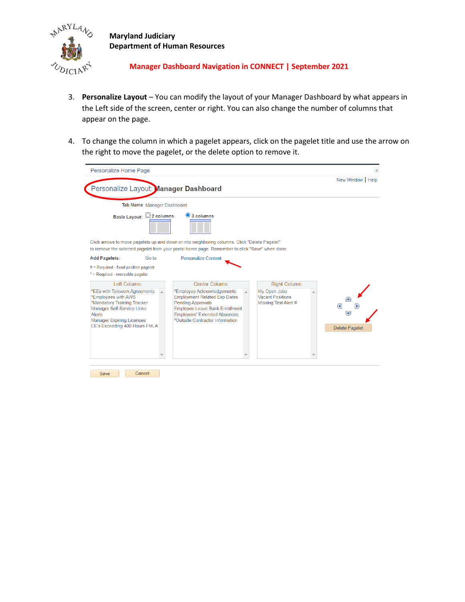

### **Manager Dashboard Navigation in CONNECT | September 2021**

- 3. **Personalize Layout** You can modify the layout of your Manager Dashboard by what appears in the Left side of the screen, center or right. You can also change the number of columns that appear on the page.
- 4. To change the column in which a pagelet appears, click on the pagelet title and use the arrow on the right to move the pagelet, or the delete option to remove it.

| Personalize Home Page                                                                                                                                                  |                            |                                                                                                                                                                                                 |                                         | $\times$                         |
|------------------------------------------------------------------------------------------------------------------------------------------------------------------------|----------------------------|-------------------------------------------------------------------------------------------------------------------------------------------------------------------------------------------------|-----------------------------------------|----------------------------------|
|                                                                                                                                                                        |                            | Personalize Layout: Manager Dashboard                                                                                                                                                           |                                         | New Window   Help                |
|                                                                                                                                                                        | Tab Name Manager Dashboard |                                                                                                                                                                                                 |                                         |                                  |
|                                                                                                                                                                        | Basic Layout: 2 columns    | $\odot$ 3 columns                                                                                                                                                                               |                                         |                                  |
|                                                                                                                                                                        |                            | Click arrows to move pagelets up and down or into neighboring columns. Click "Delete Pagelet"<br>to remove the selected pagelet from your portal home page. Remember to click "Save" when done. |                                         |                                  |
| <b>Add Pagelets:</b>                                                                                                                                                   | Go to                      | <b>Personalize Content</b>                                                                                                                                                                      |                                         |                                  |
| $#$ = Required - fixed position pagelet<br>* = Required - moveable pagelet                                                                                             |                            |                                                                                                                                                                                                 |                                         |                                  |
| Left Column:                                                                                                                                                           |                            | Center Column:                                                                                                                                                                                  | Right Column:                           |                                  |
| *EEs with Telework Agreements                                                                                                                                          |                            | *Employee Acknowledgements<br><b>Employment Related Exp Dates</b>                                                                                                                               | My Open Jobs<br><b>Vacant Positions</b> |                                  |
| *Employees with AWS<br>*Mandatory Training Tracker<br>Manager Self-Service Links<br><b>Alerts</b><br><b>Manager Expiring Licenses</b><br>EE's Exceeding 400 Hours FMLA |                            | <b>Pending Approvals</b><br><b>Employee Leave Bank Enrollment</b><br><b>Employees' Extended Absences</b><br>*Outside Contractor Information                                                     | Missing Text Alert #                    | G.<br>≂<br><b>Delete Pagelet</b> |